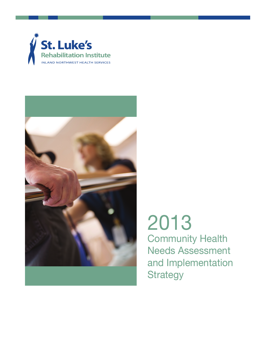



2013 Community Health Needs Assessment and Implementation **Strategy**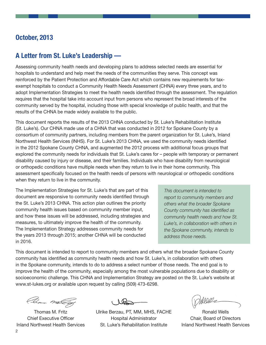# **October, 2013**

# **A Letter from St. Luke's Leadership —**

Assessing community health needs and developing plans to address selected needs are essential for hospitals to understand and help meet the needs of the communities they serve. This concept was reinforced by the Patient Protection and Affordable Care Act which contains new requirements for taxexempt hospitals to conduct a Community Health Needs Assessment (CHNA) every three years, and to adopt Implementation Strategies to meet the health needs identified through the assessment. The regulation requires that the hospital take into account input from persons who represent the broad interests of the community served by the hospital, including those with special knowledge of public health, and that the results of the CHNA be made widely available to the public.

This document reports the results of the 2013 CHNA conducted by St. Luke's Rehabilitation Institute (St. Luke's). Our CHNA made use of a CHNA that was conducted in 2012 for Spokane County by a consortium of community partners, including members from the parent organization for St. Luke's, Inland Northwest Health Services (INHS). For St. Luke's 2013 CHNA, we used the community needs identified in the 2012 Spokane County CHNA, and augmented the 2012 process with additional focus groups that explored the community needs for individuals that St. Luke's cares for – people with temporary or permanent disability caused by injury or disease, and their families. Individuals who have disability from neurological or orthopedic conditions have multiple needs when they return to live in their home community. This assessment specifically focused on the health needs of persons with neurological or orthopedic conditions when they return to live in the community.

The Implementation Strategies for St. Luke's that are part of this document are responsive to community needs identified through the St. Luke's 2013 CHNA. This action plan outlines the priority community health issues based on community member input, and how these issues will be addressed, including strategies and measures, to ultimately improve the health of the community. The Implementation Strategy addresses community needs for the years 2013 through 2015; another CHNA will be conducted in 2016.

*This document is intended to report to community members and others what the broader Spokane County community has identified as community health needs and how St. Luke's, in collaboration with others in the Spokane community, intends to address those needs.*

This document is intended to report to community members and others what the broader Spokane County community has identified as community health needs and how St. Luke's, in collaboration with others in the Spokane community, intends to do to address a select number of those needs. The end goal is to improve the health of the community, especially among the most vulnerable populations due to disability or socioeconomic challenge. This CHNA and Implementation Strategy are posted on the St. Luke's website at www.st-lukes.org or available upon request by calling (509) 473-6298.

Cloma mate

Thomas M. Fritz Chief Executive Officer Inland Northwest Health Services

Ulrike Berzau, PT, MM, MHS, FACHE Hospital Administrator St. Luke's Rehabilitation Institute

Ronald Wells Chair, Board of Directors Inland Northwest Health Services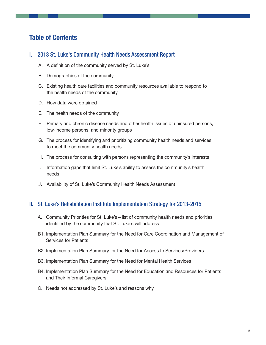# **Table of Contents**

# I. 2013 St. Luke's Community Health Needs Assessment Report

- A. A definition of the community served by St. Luke's
- B. Demographics of the community
- C. Existing health care facilities and community resources available to respond to the health needs of the community
- D. How data were obtained
- E. The health needs of the community
- F. Primary and chronic disease needs and other health issues of uninsured persons, low-income persons, and minority groups
- G. The process for identifying and prioritizing community health needs and services to meet the community health needs
- H. The process for consulting with persons representing the community's interests
- I. Information gaps that limit St. Luke's ability to assess the community's health needs
- J. Availability of St. Luke's Community Health Needs Assessment

# II. St. Luke's Rehabilitation Institute Implementation Strategy for 2013-2015

- A. Community Priorities for St. Luke's list of community health needs and priorities identified by the community that St. Luke's will address
- B1. Implementation Plan Summary for the Need for Care Coordination and Management of Services for Patients
- B2. Implementation Plan Summary for the Need for Access to Services/Providers
- B3. Implementation Plan Summary for the Need for Mental Health Services
- B4. Implementation Plan Summary for the Need for Education and Resources for Patients and Their Informal Caregivers
- C. Needs not addressed by St. Luke's and reasons why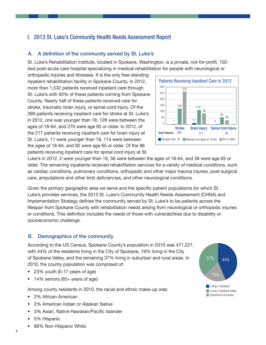# I. 2013 St. Luke's Community Health Needs Assessment Report

### A. A definition of the community served by St. Luke's

St. Luke's Rehabilitation Institute, located in Spokane, Washington, is a private, not-for-profit, 102 bed post-acute care hospital specializing in medical rehabilitation for people with neurological or

orthopedic injuries and illnesses. It is the only free-standing inpatient rehabilitation facility in Spokane County. In 2012, more than 1,532 patients received inpatient care through St. Luke's with 93% of these patients coming from Spokane County. Nearly half of these patients received care for stroke, traumatic brain injury, or spinal cord injury. Of the 399 patients receiving inpatient care for stroke at St. Luke's in 2012, one was younger than 18, 128 were between the ages of 18-64, and 270 were age 65 or older. In 2012, of the 217 patients receiving inpatient care for brain injury at St. Luke's, 11 were younger than 18, 114 were between the ages of 18-64, and 92 were age 65 or older. Of the 96 patients receiving inpatient care for spinal cord injury at St.



Luke's in 2012, 2 were younger than 18, 56 were between the ages of 18-64, and 38 were age 65 or older. The remaining inpatients received rehabilitation services for a variety of medical conditions, such as cardiac conditions, pulmonary conditions, orthopedic and other major trauma injuries, post-surgical care, amputations and other limb deficiencies, and other neurological conditions.

Given the primary geographic area we serve and the specific patient populations for which St. Luke's provides services, the 2013 St. Luke's Community Health Needs Assessment (CHNA) and Implementation Strategy defines the community served by St. Luke's to be patients across the lifespan from Spokane County with rehabilitation needs arising from neurological or orthopedic injuries or conditions. This definition includes the needs of those with vulnerabilities due to disability or socioeconomic challenge.

### B. Demographics of the community

According to the US Census, Spokane County's population in 2010 was 471,221, with 44% of the residents living in the City of Spokane, 19% living in the City of Spokane Valley, and the remaining 37% living in suburban and rural areas. In 2010, the county population was comprised of:

- 23% youth (0-17 years of age)
- 14% seniors (65+ years of age)

Among county residents in 2010, the racial and ethnic make-up was:

- 2% African American
- • 2% American Indian or Alaskan Native
- • 3% Asian, Native Hawaiian/Pacific Islander
- 5% Hispanic
- 86% Non-Hispanic White

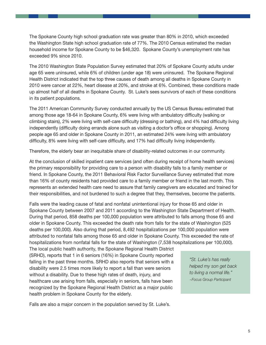The Spokane County high school graduation rate was greater than 80% in 2010, which exceeded the Washington State high school graduation rate of 77%. The 2010 Census estimated the median household income for Spokane County to be \$46,320. Spokane County's unemployment rate has exceeded 9% since 2010.

The 2010 Washington State Population Survey estimated that 20% of Spokane County adults under age 65 were uninsured, while 6% of children (under age 18) were uninsured. The Spokane Regional Health District indicated that the top three causes of death among all deaths in Spokane County in 2010 were cancer at 22%, heart disease at 20%, and stroke at 6%. Combined, these conditions made up almost half of all deaths in Spokane County. St. Luke's sees survivors of each of these conditions in its patient populations.

The 2011 American Community Survey conducted annually by the US Census Bureau estimated that among those age 18-64 in Spokane County, 6% were living with ambulatory difficulty (walking or climbing stairs), 2% were living with self-care difficulty (dressing or bathing), and 4% had difficulty living independently (difficulty doing errands alone such as visiting a doctor's office or shopping). Among people age 65 and older in Spokane County in 2011, an estimated 24% were living with ambulatory difficulty, 8% were living with self-care difficulty, and 17% had difficulty living independently.

Therefore, the elderly bear an inequitable share of disability-related outcomes in our community.

At the conclusion of skilled inpatient care services (and often during receipt of home health services) the primary responsibility for providing care to a person with disability falls to a family member or friend. In Spokane County, the 2011 Behavioral Risk Factor Surveillance Survey estimated that more than 16% of county residents had provided care to a family member or friend in the last month. This represents an extended health care need to assure that family caregivers are educated and trained for their responsibilities, and not burdened to such a degree that they, themselves, become the patients.

Falls were the leading cause of fatal and nonfatal unintentional injury for those 65 and older in Spokane County between 2007 and 2011 according to the Washington State Department of Health. During that period, 858 deaths per 100,000 population were attributed to falls among those 65 and older in Spokane County. This exceeded the death rate from falls for the state of Washington (525 deaths per 100,000). Also during that period, 8,492 hospitalizations per 100,000 population were attributed to nonfatal falls among those 65 and older in Spokane County. This exceeded the rate of hospitalizations from nonfatal falls for the state of Washington (7,538 hospitalizations per 100,000).

The local public health authority, the Spokane Regional Health District (SRHD), reports that 1 in 6 seniors (16%) in Spokane County reported falling in the past three months. SRHD also reports that seniors with a disability were 2.5 times more likely to report a fall than were seniors without a disability. Due to these high rates of death, injury, and healthcare use arising from falls, especially in seniors, falls have been recognized by the Spokane Regional Health District as a major public health problem in Spokane County for the elderly.

*"St. Luke's has really helped my son get back to living a normal life." ~Focus Group Participant*

Falls are also a major concern in the population served by St. Luke's.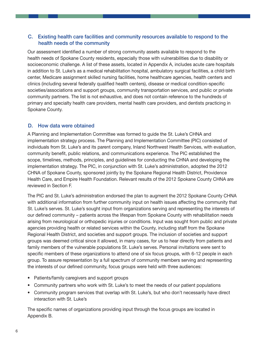# C. Existing health care facilities and community resources available to respond to the health needs of the community

Our assessment identified a number of strong community assets available to respond to the health needs of Spokane County residents, especially those with vulnerabilities due to disability or socioeconomic challenge. A list of these assets, located in Appendix A, includes acute care hospitals in addition to St. Luke's as a medical rehabilitation hospital, ambulatory surgical facilities, a child birth center, Medicare assignment skilled nursing facilities, home healthcare agencies, health centers and clinics (including several federally qualified health centers), disease or medical condition-specific societies/associations and support groups, community transportation services, and public or private community partners. The list is not exhaustive, and does not contain reference to the hundreds of primary and specialty health care providers, mental health care providers, and dentists practicing in Spokane County.

## D. How data were obtained

A Planning and Implementation Committee was formed to guide the St. Luke's CHNA and implementation strategy process. The Planning and Implementation Committee (PIC) consisted of individuals from St. Luke's and its parent company, Inland Northwest Health Services, with evaluation, community benefit, public relations, and communications experience. The PIC established the scope, timelines, methods, principles, and guidelines for conducting the CHNA and developing the implementation strategy. The PIC, in conjunction with St. Luke's administration, adopted the 2012 CHNA of Spokane County, sponsored jointly by the Spokane Regional Health District, Providence Health Care, and Empire Health Foundation. Relevant results of the 2012 Spokane County CHNA are reviewed in Section F.

The PIC and St. Luke's administration endorsed the plan to augment the 2012 Spokane County CHNA with additional information from further community input on health issues affecting the community that St. Luke's serves. St. Luke's sought input from organizations serving and representing the interests of our defined community – patients across the lifespan from Spokane County with rehabilitation needs arising from neurological or orthopedic injuries or conditions. Input was sought from public and private agencies providing health or related services within the County, including staff from the Spokane Regional Health District, and societies and support groups. The inclusion of societies and support groups was deemed critical since it allowed, in many cases, for us to hear directly from patients and family members of the vulnerable populations St. Luke's serves. Personal invitations were sent to specific members of these organizations to attend one of six focus groups, with 6-12 people in each group. To assure representation by a full spectrum of community members serving and representing the interests of our defined community, focus groups were held with three audiences:

- Patients/family caregivers and support groups
- Community partners who work with St. Luke's to meet the needs of our patient populations
- Community program services that overlap with St. Luke's, but who don't necessarily have direct interaction with St. Luke's

The specific names of organizations providing input through the focus groups are located in Appendix B.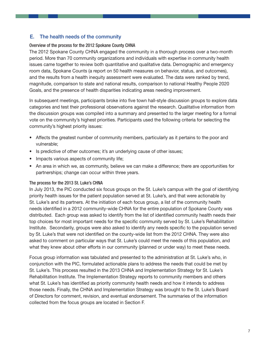# E. The health needs of the community

### Overview of the process for the 2012 Spokane County CHNA

The 2012 Spokane County CHNA engaged the community in a thorough process over a two-month period. More than 70 community organizations and individuals with expertise in community health issues came together to review both quantitative and qualitative data. Demographic and emergency room data, Spokane Counts (a report on 50 health measures on behavior, status, and outcomes), and the results from a health inequity assessment were evaluated. The data were ranked by trend, magnitude, comparison to state and national results, comparison to national Healthy People 2020 Goals, and the presence of health disparities indicating areas needing improvement.

In subsequent meetings, participants broke into five town hall-style discussion groups to explore data categories and test their professional observations against the research. Qualitative information from the discussion groups was compiled into a summary and presented to the larger meeting for a formal vote on the community's highest priorities. Participants used the following criteria for selecting the community's highest priority issues:

- Affects the greatest number of community members, particularly as it pertains to the poor and vulnerable;
- Is predictive of other outcomes; it's an underlying cause of other issues;
- Impacts various aspects of community life;
- An area in which we, as community, believe we can make a difference; there are opportunities for partnerships; change can occur within three years.

### The process for the 2013 St. Luke's CHNA

In July 2013, the PIC conducted six focus groups on the St. Luke's campus with the goal of identifying priority health issues for the patient population served at St. Luke's, and that were actionable by St. Luke's and its partners. At the initiation of each focus group, a list of the community health needs identified in a 2012 community-wide CHNA for the entire population of Spokane County was distributed. Each group was asked to identify from the list of identified community health needs their top choices for most important needs for the specific community served by St. Luke's Rehabilitation Institute. Secondarily, groups were also asked to identify any needs specific to the population served by St. Luke's that were not identified on the county-wide list from the 2012 CHNA. They were also asked to comment on particular ways that St. Luke's could meet the needs of this population, and what they knew about other efforts in our community (planned or under way) to meet these needs.

Focus group information was tabulated and presented to the administration at St. Luke's who, in conjunction with the PIC, formulated actionable plans to address the needs that could be met by St. Luke's. This process resulted in the 2013 CHNA and Implementation Strategy for St. Luke's Rehabilitation Institute. The Implementation Strategy reports to community members and others what St. Luke's has identified as priority community health needs and how it intends to address those needs. Finally, the CHNA and Implementation Strategy was brought to the St. Luke's Board of Directors for comment, revision, and eventual endorsement. The summaries of the information collected from the focus groups are located in Section F.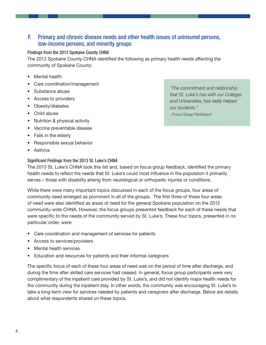# F. Primary and chronic disease needs and other health issues of uninsured persons, low-income persons, and minority groups

### Findings from the 2012 Spokane County CHNA

The 2012 Spokane County CHNA identified the following as primary health needs affecting the community of Spokane County:

- Mental health
- Care coordination/management
- Substance abuse
- • Access to providers
- Obesity/diabetes
- Child abuse
- Nutrition & physical activity
- Vaccine preventable disease
- Falls in the elderly
- Responsible sexual behavior
- • Asthma

#### Significant Findings from the 2013 St. Luke's CHNA

*"The commitment and relationship that St. Luke's has with our Colleges and Universities, has really helped our students." ~Focus Group Participant*

The 2013 St. Luke's CHNA took this list and, based on focus group feedback, identified the primary health needs to reflect the needs that St. Luke's could most influence in the population it primarily serves – those with disability arising from neurological or orthopedic injuries or conditions.

While there were many important topics discussed in each of the focus groups, four areas of community need emerged as prominent in all of the groups. The first three of these four areas of need were also identified as areas of need for the general Spokane population on the 2012 community-wide CHNA. However, the focus groups presented feedback for each of these needs that were specific to the needs of the community served by St. Luke's. These four topics, presented in no particular order, were:

- Care coordination and management of services for patients
- Access to services/providers
- Mental health services
- Education and resources for patients and their informal caregivers

The specific focus of each of these four areas of need was on the period of time after discharge, and during the time after skilled care services had ceased. In general, focus group participants were very complimentary of the inpatient care provided by St. Luke's, and did not identify major health needs for the community during the inpatient stay. In other words, the community was encouraging St. Luke's to take a long-term view for services needed by patients and caregivers after discharge. Below are details about what respondents shared on these topics.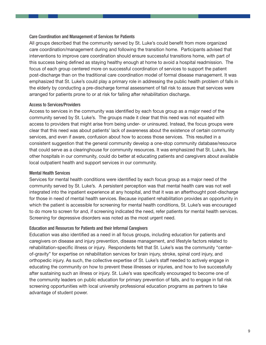#### Care Coordination and Management of Services for Patients

All groups described that the community served by St. Luke's could benefit from more organized care coordination/management during and following the transition home. Participants advised that interventions to improve care coordination should ensure successful transitions home, with part of this success being defined as staying healthy enough at home to avoid a hospital readmission. The focus of each group centered more on successful coordination of services to support the patient post-discharge than on the traditional care coordination model of formal disease management. It was emphasized that St. Luke's could play a primary role in addressing the public health problem of falls in the elderly by conducting a pre-discharge formal assessment of fall risk to assure that services were arranged for patients prone to or at risk for falling after rehabilitation discharge.

#### Access to Services/Providers

Access to services in the community was identified by each focus group as a major need of the community served by St. Luke's. The groups made it clear that this need was not equated with access to providers that might arise from being under- or uninsured. Instead, the focus groups were clear that this need was about patients' lack of awareness about the existence of certain community services, and even if aware, confusion about how to access those services. This resulted in a consistent suggestion that the general community develop a one-stop community database/resource that could serve as a clearinghouse for community resources. It was emphasized that St. Luke's, like other hospitals in our community, could do better at educating patients and caregivers about available local outpatient health and support services in our community.

#### Mental Health Services

Services for mental health conditions were identified by each focus group as a major need of the community served by St. Luke's. A persistent perception was that mental health care was not well integrated into the inpatient experience at any hospital, and that it was an afterthought post-discharge for those in need of mental health services. Because inpatient rehabilitation provides an opportunity in which the patient is accessible for screening for mental health conditions, St. Luke's was encouraged to do more to screen for and, if screening indicated the need, refer patients for mental health services. Screening for depressive disorders was noted as the most urgent need.

#### Education and Resources for Patients and their Informal Caregivers

Education was also identified as a need in all focus groups, including education for patients and caregivers on disease and injury prevention, disease management, and lifestyle factors related to rehabilitation-specific illness or injury. Respondents felt that St. Luke's was the community "centerof-gravity" for expertise on rehabilitation services for brain injury, stroke, spinal cord injury, and orthopedic injury. As such, the collective expertise of St. Luke's staff needed to actively engage in educating the community on how to prevent these illnesses or injuries, and how to live successfully after sustaining such an illness or injury. St. Luke's was specifically encouraged to become one of the community leaders on public education for primary prevention of falls, and to engage in fall risk screening opportunities with local university professional education programs as partners to take advantage of student power.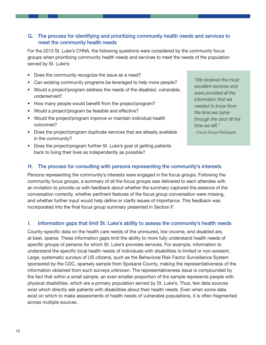## G. The process for identifying and prioritizing community health needs and services to meet the community health needs

For the 2013 St. Luke's CHNA, the following questions were considered by the community focus groups when prioritizing community health needs and services to meet the needs of the population served by St. Luke's:

- Does the community recognize the issue as a need?
- Can existing community programs be leveraged to help more people?
- Would a project/program address the needs of the disabled, vulnerable, underserved?
- How many people would benefit from the project/program?
- Would a project/program be feasible and effective?
- Would the project/program improve or maintain individual health outcomes?
- Does the project/program duplicate services that are already available in the community?
- Does the project/program further St. Luke's goal of getting patients back to living their lives as independently as possible?

*"We received the most excellent services and were provided all the information that we needed to know from the time we came through the door till the time we left." ~Focus Group Participant*

### H. The process for consulting with persons representing the community's interests

Persons representing the community's interests were engaged in the focus groups. Following the community focus groups, a summary of all the focus groups was delivered to each attendee with an invitation to provide us with feedback about whether the summary captured the essence of the conversation correctly, whether pertinent features of the focus group conversation were missing, and whether further input would help define or clarify issues of importance. This feedback was incorporated into the final focus group summary presented in Section F.

### I. Information gaps that limit St. Luke's ability to assess the community's health needs

County-specific data on the health care needs of the uninsured, low-income, and disabled are, at best, sparse. These information gaps limit the ability to more fully understand health needs of specific groups of persons for which St. Luke's provides services. For example, information to understand the specific local health needs of individuals with disabilities is limited or non-existent. Large, systematic surveys of US citizens, such as the Behavioral Risk Factor Surveillance System sponsored by the CDC, sparsely sample from Spokane County, making the representativeness of the information obtained from such surveys unknown. The representativeness issue is compounded by the fact that within a small sample, an even smaller proportion of the sample represents people with physical disabilities, which are a primary population served by St. Luke's. Thus, few data sources exist which directly ask patients with disabilities about their health needs. Even when some data exist on which to make assessments of health needs of vulnerable populations, it is often fragmented across multiple sources.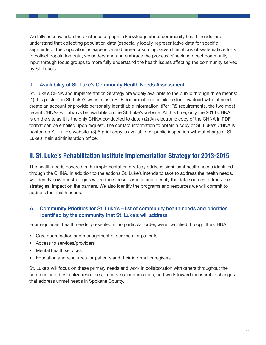We fully acknowledge the existence of gaps in knowledge about community health needs, and understand that collecting population data (especially locally-representative data for specific segments of the population) is expensive and time-consuming. Given limitations of systematic efforts to collect population data, we understand and embrace the process of seeking direct community input through focus groups to more fully understand the health issues affecting the community served by St. Luke's.

## J. Availability of St. Luke's Community Health Needs Assessment

St. Luke's CHNA and Implementation Strategy are widely available to the public through three means: (1) It is posted on St. Luke's website as a PDF document, and available for download without need to create an account or provide personally identifiable information. (Per IRS requirements, the two most recent CHNAs will always be available on the St. Luke's website. At this time, only the 2013 CHNA is on the site as it is the only CHNA conducted to date.) (2) An electronic copy of the CHNA in PDF format can be emailed upon request. The contact information to obtain a copy of St. Luke's CHNA is posted on St. Luke's website. (3) A print copy is available for public inspection without charge at St. Luke's main administration office.

# **II. St. Luke's Rehabilitation Institute Implementation Strategy for 2013-2015**

The health needs covered in the implementation strategy address significant health needs identified through the CHNA. In addition to the actions St. Luke's intends to take to address the health needs, we identify how our strategies will reduce these barriers, and identify the data sources to track the strategies' impact on the barriers. We also identify the programs and resources we will commit to address the health needs.

## A. Community Priorities for St. Luke's – list of community health needs and priorities identified by the community that St. Luke's will address

Four significant health needs, presented in no particular order, were identified through the CHNA:

- Care coordination and management of services for patients
- Access to services/providers
- Mental health services
- Education and resources for patients and their informal caregivers

St. Luke's will focus on these primary needs and work in collaboration with others throughout the community to best utilize resources, improve communication, and work toward measurable changes that address unmet needs in Spokane County.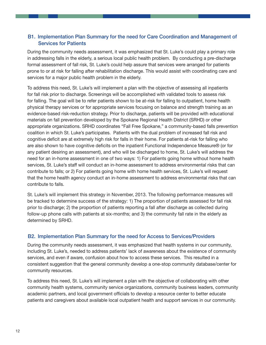# B1. Implementation Plan Summary for the need for Care Coordination and Management of Services for Patients

During the community needs assessment, it was emphasized that St. Luke's could play a primary role in addressing falls in the elderly, a serious local public health problem. By conducting a pre-discharge formal assessment of fall risk, St. Luke's could help assure that services were arranged for patients prone to or at risk for falling after rehabilitation discharge. This would assist with coordinating care and services for a major public health problem in the elderly.

To address this need, St. Luke's will implement a plan with the objective of assessing all inpatients for fall risk prior to discharge. Screenings will be accomplished with validated tools to assess risk for falling. The goal will be to refer patients shown to be at-risk for falling to outpatient, home health physical therapy services or for appropriate services focusing on balance and strength training as an evidence-based risk-reduction strategy. Prior to discharge, patients will be provided with educational materials on fall prevention developed by the Spokane Regional Health District (SRHD) or other appropriate organizations. SRHD coordinates "Fall Free Spokane," a community-based falls prevention coalition in which St. Luke's participates. Patients with the dual problem of increased fall risk and cognitive deficit are at extremely high risk for falls in their home. For patients at-risk for falling who are also shown to have cognitive deficits on the inpatient Functional Independence Measure® (or for any patient desiring an assessment), and who will be discharged to home, St. Luke's will address the need for an in-home assessment in one of two ways: 1) For patients going home without home health services, St. Luke's staff will conduct an in-home assessment to address environmental risks that can contribute to falls; or 2) For patients going home with home health services, St. Luke's will request that the home health agency conduct an in-home assessment to address environmental risks that can contribute to falls.

St. Luke's will implement this strategy in November, 2013. The following performance measures will be tracked to determine success of the strategy: 1) The proportion of patients assessed for fall risk prior to discharge; 2) the proportion of patients reporting a fall after discharge as collected during follow-up phone calls with patients at six-months; and 3) the community fall rate in the elderly as determined by SRHD.

## B2. Implementation Plan Summary for the need for Access to Services/Providers

During the community needs assessment, it was emphasized that health systems in our community, including St. Luke's, needed to address patients' lack of awareness about the existence of community services, and even if aware, confusion about how to access these services. This resulted in a consistent suggestion that the general community develop a one-stop community database/center for community resources.

To address this need, St. Luke's will implement a plan with the objective of collaborating with other community health systems, community service organizations, community business leaders, community academic partners, and local government officials to develop a resource center to better educate patients and caregivers about available local outpatient health and support services in our community.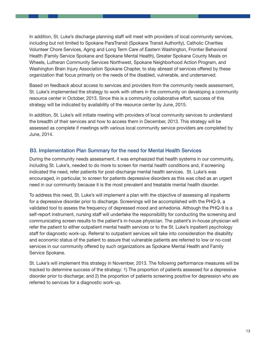In addition, St. Luke's discharge planning staff will meet with providers of local community services, including but not limited to Spokane ParaTransit (Spokane Transit Authority), Catholic Charities Volunteer Chore Services, Aging and Long Term Care of Eastern Washington, Frontier Behavioral Health (Family Service Spokane and Spokane Mental Health), Greater Spokane County Meals on Wheels, Lutheran Community Services Northwest, Spokane Neighborhood Action Program, and Washington Brain Injury Association Spokane Chapter, to stay abreast of services offered by these organization that focus primarily on the needs of the disabled, vulnerable, and underserved.

Based on feedback about access to services and providers from the community needs assessment, St. Luke's implemented the strategy to work with others in the community on developing a community resource center in October, 2013. Since this is a community collaborative effort, success of this strategy will be indicated by availability of the resource center by June, 2015.

In addition, St. Luke's will initiate meeting with providers of local community services to understand the breadth of their services and how to access them in December, 2013. This strategy will be assessed as complete if meetings with various local community service providers are completed by June, 2014.

## B3. Implementation Plan Summary for the need for Mental Health Services

During the community needs assessment, it was emphasized that health systems in our community, including St. Luke's, needed to do more to screen for mental health conditions and, if screening indicated the need, refer patients for post-discharge mental health services. St. Luke's was encouraged, in particular, to screen for patients depressive disorders as this was cited as an urgent need in our community because it is the most prevalent and treatable mental health disorder.

To address this need, St. Luke's will implement a plan with the objective of assessing all inpatients for a depressive disorder prior to discharge. Screenings will be accomplished with the PHQ-9, a validated tool to assess the frequency of depressed mood and anhedonia. Although the PHQ-9 is a self-report instrument, nursing staff will undertake the responsibility for conducting the screening and communicating screen results to the patient's in-house physician. The patient's in-house physician will refer the patient to either outpatient mental health services or to the St. Luke's inpatient psychology staff for diagnostic work-up. Referral to outpatient services will take into consideration the disability and economic status of the patient to assure that vulnerable patients are referred to low or no-cost services in our community offered by such organizations as Spokane Mental Health and Family Service Spokane.

St. Luke's will implement this strategy in November, 2013. The following performance measures will be tracked to determine success of the strategy: 1) The proportion of patients assessed for a depressive disorder prior to discharge; and 2) the proportion of patients screening positive for depression who are referred to services for a diagnostic work-up.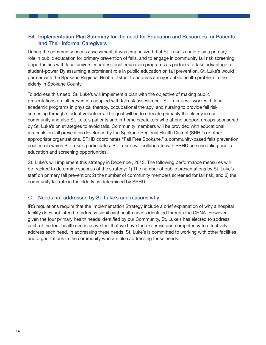# B4. Implementation Plan Summary for the need for Education and Resources for Patients and Their Informal Caregivers

During the community needs assessment, it was emphasized that St. Luke's could play a primary role in public education for primary prevention of falls, and to engage in community fall risk screening opportunities with local university professional education programs as partners to take advantage of student-power. By assuming a prominent role in public education on fall prevention, St. Luke's would partner with the Spokane Regional Health District to address a major public health problem in the elderly in Spokane County.

To address this need, St. Luke's will implement a plan with the objective of making public presentations on fall prevention coupled with fall risk assessment. St. Luke's will work with local academic programs in physical therapy, occupational therapy, and nursing to provide fall risk screening through student volunteers. The goal will be to educate primarily the elderly in our community and also St. Luke's patients and in-home caretakers who attend support groups sponsored by St. Luke's on strategies to avoid falls. Community members will be provided with educational materials on fall prevention developed by the Spokane Regional Health District (SRHD) or other appropriate organizations. SRHD coordinates "Fall Free Spokane," a community-based falls prevention coalition in which St. Luke's participates. St. Luke's will collaborate with SRHD on scheduling public education and screening opportunities.

St. Luke's will implement this strategy in December, 2013. The following performance measures will be tracked to determine success of the strategy: 1) The number of public presentations by St. Luke's staff on primary fall prevention; 2) the number of community members screened for fall risk; and 3) the community fall rate in the elderly as determined by SRHD.

# C. Needs not addressed by St. Luke's and reasons why

IRS regulations require that the Implementation Strategy include a brief explanation of why a hospital facility does not intend to address significant health needs identified through the CHNA. However, given the four primary health needs identified by our Community, St. Luke's has elected to address each of the four health needs as we feel that we have the expertise and competency to effectively address each need. In addressing these needs, St. Luke's is committed to working with other facilities and organizations in the community who are also addressing these needs.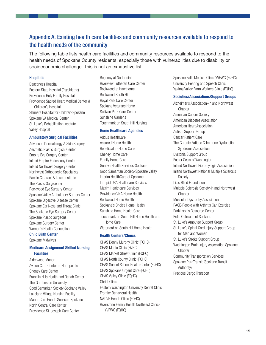# Appendix A. Existing health care facilities and community resources available to respond to the health needs of the community

The following table lists health care facilities and community resources available to respond to the health needs of Spokane County residents, especially those with vulnerabilities due to disability or socioeconomic challenge. This is not an exhaustive list.

#### **Hospitals**

Deaconess Hospital Eastern State Hospital (Psychiatric) Providence Holy Family Hospital Providence Sacred Heart Medical Center & Children's Hospital Shriners Hospital for Children-Spokane Spokane VA Medical Center St. Luke's Rehabilitation Institute Valley Hospital

#### **Ambulatory Surgical Facilities**

Advanced Dermatology & Skin Surgery Aesthetic Plastic Surgical Center Empire Eye Surgery Center Inland Empire Endoscopy Center Inland Northwest Surgery Center Northwest Orthopaedic Specialists Pacific Cataract & Laser Institute The Plastic Surgicenter Rockwood Eye Surgery Center Spokane Valley Ambulatory Surgery Center Spokane Digestive Disease Center Spokane Ear Nose and Throat Clinic The Spokane Eye Surgery Center Spokane Plastic Surgeons Spokane Surgery Center Women's Health Connection

#### **Child Birth Center**

Spokane Midwives

#### **Medicare Assignment Skilled Nursing Facilities**

Alderwood Manor Avalon Care Center at Northpointe Cheney Care Center Franklin Hills Health and Rehab Center The Gardens on University Good Samaritan Society-Spokane Valley Lakeland Village Nursing Facility Manor Care Health Services-Spokane North Central Care Center Providence St. Joseph Care Center

Regency at Northpointe Riverview Lutheran Care Center Rockwood at Hawthorne Rockwood South Hill Royal Park Care Center Spokane Veterans Home Sullivan Park Care Center Sunshine Gardens Touchmark on South Hill Nursing

#### **Home Healthcare Agencies**

Addus HealthCare Assured Home Health Beneficial In-Home Care Cheney Home Care Family Home Care Gentiva Health Services-Spokane Good Samaritan Society-Spokane Valley Interim HealthCare of Spokane Intrepid USA Healthcare Services Maxim Healthcare Services Providence VNA Home Health Rockwood Home Health Spokane's Choice Home Health Sunshine Home Health Care Touchmark on South Hill Home Health and Home Care Waterford on South Hill Home Health

#### **Health Centers/Clinics**

CHAS Denny Murphy Clinic (FQHC) CHAS Maple Clinic (FQHC) CHAS Market Street Clinic (FQHC) CHAS North County Clinic (FQHC) CHAS Sunset School Health Center (FQHC) CHAS Spokane Urgent Care (FQHC) CHAS Valley Clinic (FQHC) Christ Clinic Eastern Washington University Dental Clinic Frontier Behavioral Health NATIVE Health Clinic (FQHC) Riverstone Family Health Northeast Clinic-YVFWC (FQHC)

Spokane Falls Medical Clinic-YVFWC (FQHC) University Hearing and Speech Clinic Yakima Valley Farm Workers Clinic (FQHC)

#### **Societies/Associations/Support Groups**

Alzheimer's Association–Inland Northwest **Chapter** American Cancer Society American Diabetes Association American Heart Association Autism Support Group Cancer Patient Care The Chronic Fatigue & Immune Dysfunction Syndrome Association Dystonia Support Group Easter Seals of Washington Inland Northwest Fibromyalgia Association Inland Northwest National Multiple Sclerosis Society Lilac Blind Foundation Multiple Sclerosis Society-Inland Northwest **Chapter** Muscular Dystrophy Association PACE-People with Arthritis Can Exercise Parkinson's Resource Center Polio Outreach of Spokane St. Luke's Amputee Support Group St. Luke's Spinal Cord Injury Support Group for Men and Women St. Luke's Stroke Support Group Washington Brain Injury Association Spokane **Chapter** Community Transportation Services Spokane ParaTransit (Spokane Transit Authority) Precious Cargo Transport